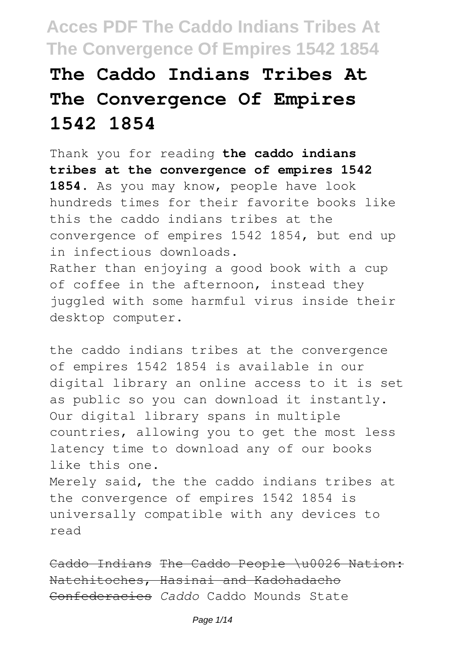# **The Caddo Indians Tribes At The Convergence Of Empires 1542 1854**

Thank you for reading **the caddo indians tribes at the convergence of empires 1542 1854**. As you may know, people have look hundreds times for their favorite books like this the caddo indians tribes at the convergence of empires 1542 1854, but end up in infectious downloads. Rather than enjoying a good book with a cup

of coffee in the afternoon, instead they juggled with some harmful virus inside their desktop computer.

the caddo indians tribes at the convergence of empires 1542 1854 is available in our digital library an online access to it is set as public so you can download it instantly. Our digital library spans in multiple countries, allowing you to get the most less latency time to download any of our books like this one. Merely said, the the caddo indians tribes at the convergence of empires 1542 1854 is universally compatible with any devices to

Caddo Indians The Caddo People \u0026 Nation: Natchitoches, Hasinai and Kadohadacho Confederacies *Caddo* Caddo Mounds State

read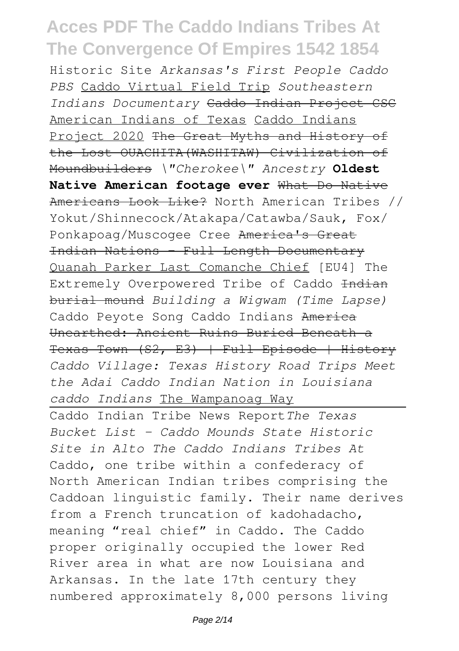Historic Site *Arkansas's First People Caddo PBS* Caddo Virtual Field Trip *Southeastern Indians Documentary* Caddo Indian Project CSC American Indians of Texas Caddo Indians Project 2020 The Great Myths and History of the Lost OUACHITA(WASHITAW) Civilization of Moundbuilders *\"Cherokee\" Ancestry* **Oldest Native American footage ever** What Do Native Americans Look Like? North American Tribes // Yokut/Shinnecock/Atakapa/Catawba/Sauk, Fox/ Ponkapoag/Muscogee Cree America's Great Indian Nations - Full Length Documentary Quanah Parker Last Comanche Chief [EU4] The Extremely Overpowered Tribe of Caddo Indian burial mound *Building a Wigwam (Time Lapse)* Caddo Peyote Song Caddo Indians America Unearthed: Ancient Ruins Buried Beneath a Texas Town (S2, E3) | Full Episode | History *Caddo Village: Texas History Road Trips Meet the Adai Caddo Indian Nation in Louisiana caddo Indians* The Wampanoag Way

Caddo Indian Tribe News Report*The Texas Bucket List - Caddo Mounds State Historic Site in Alto The Caddo Indians Tribes At* Caddo, one tribe within a confederacy of North American Indian tribes comprising the Caddoan linguistic family. Their name derives from a French truncation of kadohadacho, meaning "real chief" in Caddo. The Caddo proper originally occupied the lower Red River area in what are now Louisiana and Arkansas. In the late 17th century they numbered approximately 8,000 persons living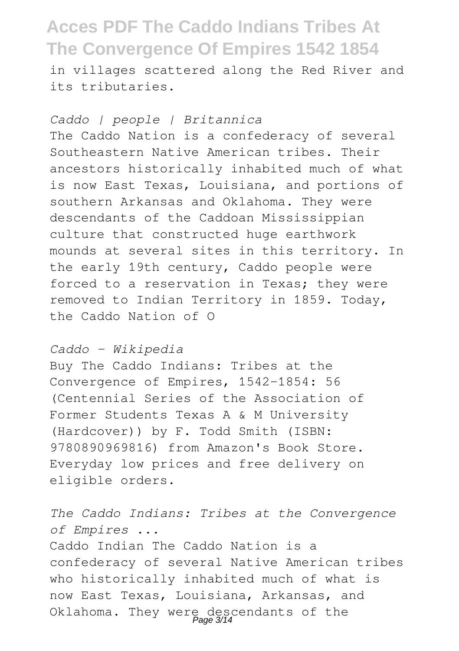in villages scattered along the Red River and its tributaries.

#### *Caddo | people | Britannica*

The Caddo Nation is a confederacy of several Southeastern Native American tribes. Their ancestors historically inhabited much of what is now East Texas, Louisiana, and portions of southern Arkansas and Oklahoma. They were descendants of the Caddoan Mississippian culture that constructed huge earthwork mounds at several sites in this territory. In the early 19th century, Caddo people were forced to a reservation in Texas: they were removed to Indian Territory in 1859. Today, the Caddo Nation of O

#### *Caddo - Wikipedia*

Buy The Caddo Indians: Tribes at the Convergence of Empires, 1542-1854: 56 (Centennial Series of the Association of Former Students Texas A & M University (Hardcover)) by F. Todd Smith (ISBN: 9780890969816) from Amazon's Book Store. Everyday low prices and free delivery on eligible orders.

*The Caddo Indians: Tribes at the Convergence of Empires ...*

Caddo Indian The Caddo Nation is a confederacy of several Native American tribes who historically inhabited much of what is now East Texas, Louisiana, Arkansas, and Oklahoma. They were descendants of the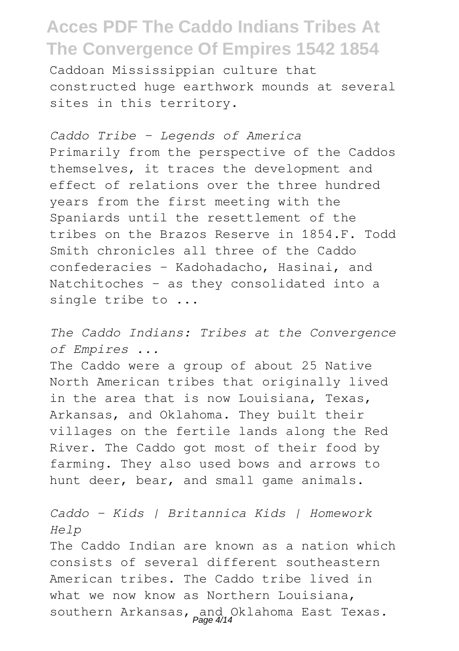Caddoan Mississippian culture that constructed huge earthwork mounds at several sites in this territory.

*Caddo Tribe – Legends of America* Primarily from the perspective of the Caddos themselves, it traces the development and effect of relations over the three hundred years from the first meeting with the Spaniards until the resettlement of the tribes on the Brazos Reserve in 1854.F. Todd Smith chronicles all three of the Caddo confederacies - Kadohadacho, Hasinai, and Natchitoches - as they consolidated into a single tribe to ...

*The Caddo Indians: Tribes at the Convergence of Empires ...*

The Caddo were a group of about 25 Native North American tribes that originally lived in the area that is now Louisiana, Texas, Arkansas, and Oklahoma. They built their villages on the fertile lands along the Red River. The Caddo got most of their food by farming. They also used bows and arrows to hunt deer, bear, and small game animals.

*Caddo - Kids | Britannica Kids | Homework Help*

The Caddo Indian are known as a nation which consists of several different southeastern American tribes. The Caddo tribe lived in what we now know as Northern Louisiana, southern Arkansas, and Oklahoma East Texas.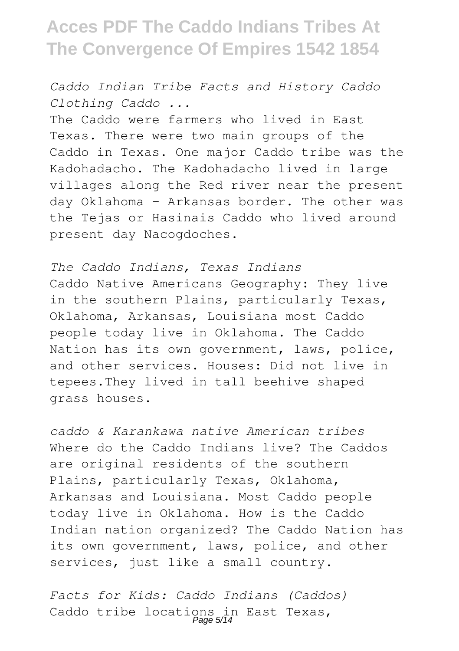*Caddo Indian Tribe Facts and History Caddo Clothing Caddo ...*

The Caddo were farmers who lived in East Texas. There were two main groups of the Caddo in Texas. One major Caddo tribe was the Kadohadacho. The Kadohadacho lived in large villages along the Red river near the present day Oklahoma - Arkansas border. The other was the Tejas or Hasinais Caddo who lived around present day Nacogdoches.

*The Caddo Indians, Texas Indians* Caddo Native Americans Geography: They live in the southern Plains, particularly Texas, Oklahoma, Arkansas, Louisiana most Caddo people today live in Oklahoma. The Caddo Nation has its own government, laws, police, and other services. Houses: Did not live in tepees.They lived in tall beehive shaped grass houses.

*caddo & Karankawa native American tribes* Where do the Caddo Indians live? The Caddos are original residents of the southern Plains, particularly Texas, Oklahoma, Arkansas and Louisiana. Most Caddo people today live in Oklahoma. How is the Caddo Indian nation organized? The Caddo Nation has its own government, laws, police, and other services, just like a small country.

*Facts for Kids: Caddo Indians (Caddos)* Caddo tribe locations in East Texas,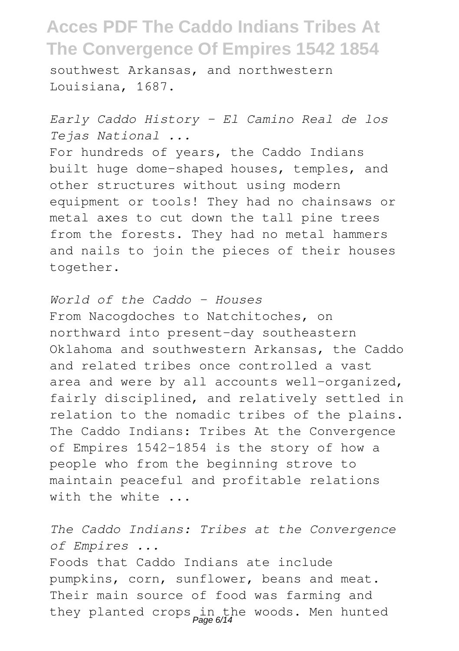southwest Arkansas, and northwestern Louisiana, 1687.

*Early Caddo History - El Camino Real de los Tejas National ...* For hundreds of years, the Caddo Indians built huge dome-shaped houses, temples, and other structures without using modern equipment or tools! They had no chainsaws or metal axes to cut down the tall pine trees from the forests. They had no metal hammers and nails to join the pieces of their houses together.

*World of the Caddo - Houses* From Nacogdoches to Natchitoches, on northward into present-day southeastern Oklahoma and southwestern Arkansas, the Caddo and related tribes once controlled a vast area and were by all accounts well-organized, fairly disciplined, and relatively settled in relation to the nomadic tribes of the plains. The Caddo Indians: Tribes At the Convergence of Empires 1542-1854 is the story of how a people who from the beginning strove to maintain peaceful and profitable relations with the white ...

*The Caddo Indians: Tribes at the Convergence of Empires ...*

Foods that Caddo Indians ate include pumpkins, corn, sunflower, beans and meat. Their main source of food was farming and they planted crops in the woods. Men hunted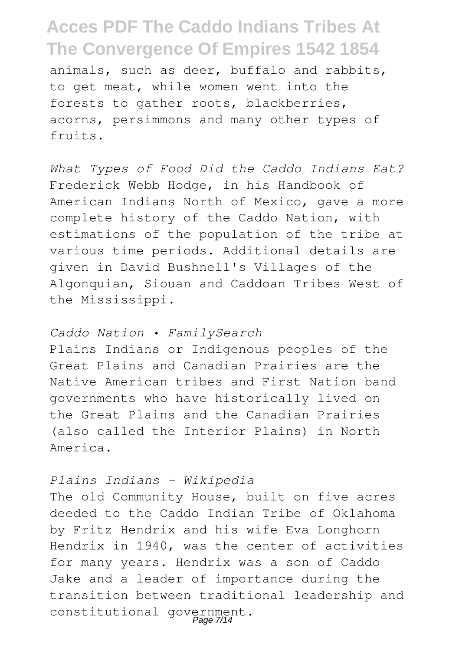animals, such as deer, buffalo and rabbits, to get meat, while women went into the forests to gather roots, blackberries, acorns, persimmons and many other types of fruits.

*What Types of Food Did the Caddo Indians Eat?* Frederick Webb Hodge, in his Handbook of American Indians North of Mexico, gave a more complete history of the Caddo Nation, with estimations of the population of the tribe at various time periods. Additional details are given in David Bushnell's Villages of the Algonquian, Siouan and Caddoan Tribes West of the Mississippi.

#### *Caddo Nation • FamilySearch*

Plains Indians or Indigenous peoples of the Great Plains and Canadian Prairies are the Native American tribes and First Nation band governments who have historically lived on the Great Plains and the Canadian Prairies (also called the Interior Plains) in North America.

#### *Plains Indians - Wikipedia*

The old Community House, built on five acres deeded to the Caddo Indian Tribe of Oklahoma by Fritz Hendrix and his wife Eva Longhorn Hendrix in 1940, was the center of activities for many years. Hendrix was a son of Caddo Jake and a leader of importance during the transition between traditional leadership and constitutional government. Page 7/14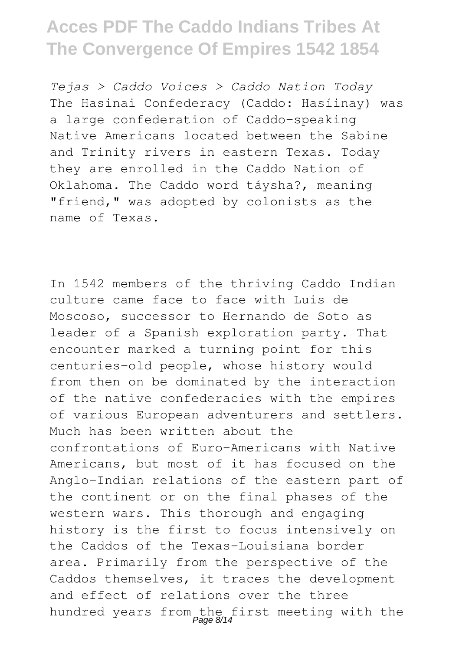*Tejas > Caddo Voices > Caddo Nation Today* The Hasinai Confederacy (Caddo: Hasíinay) was a large confederation of Caddo-speaking Native Americans located between the Sabine and Trinity rivers in eastern Texas. Today they are enrolled in the Caddo Nation of Oklahoma. The Caddo word táysha?, meaning "friend," was adopted by colonists as the name of Texas.

In 1542 members of the thriving Caddo Indian culture came face to face with Luis de Moscoso, successor to Hernando de Soto as leader of a Spanish exploration party. That encounter marked a turning point for this centuries-old people, whose history would from then on be dominated by the interaction of the native confederacies with the empires of various European adventurers and settlers. Much has been written about the confrontations of Euro-Americans with Native Americans, but most of it has focused on the Anglo-Indian relations of the eastern part of the continent or on the final phases of the western wars. This thorough and engaging history is the first to focus intensively on the Caddos of the Texas-Louisiana border area. Primarily from the perspective of the Caddos themselves, it traces the development and effect of relations over the three hundred years from the first meeting with the<br>
Page 8/14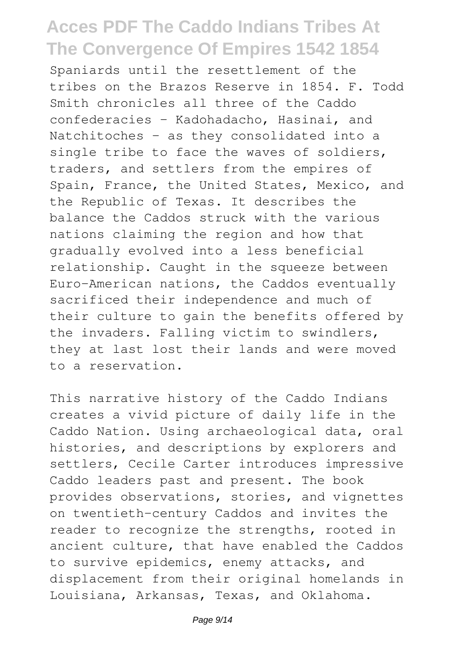Spaniards until the resettlement of the tribes on the Brazos Reserve in 1854. F. Todd Smith chronicles all three of the Caddo confederacies - Kadohadacho, Hasinai, and Natchitoches - as they consolidated into a single tribe to face the waves of soldiers, traders, and settlers from the empires of Spain, France, the United States, Mexico, and the Republic of Texas. It describes the balance the Caddos struck with the various nations claiming the region and how that gradually evolved into a less beneficial relationship. Caught in the squeeze between Euro-American nations, the Caddos eventually sacrificed their independence and much of their culture to gain the benefits offered by the invaders. Falling victim to swindlers, they at last lost their lands and were moved to a reservation.

This narrative history of the Caddo Indians creates a vivid picture of daily life in the Caddo Nation. Using archaeological data, oral histories, and descriptions by explorers and settlers, Cecile Carter introduces impressive Caddo leaders past and present. The book provides observations, stories, and vignettes on twentieth-century Caddos and invites the reader to recognize the strengths, rooted in ancient culture, that have enabled the Caddos to survive epidemics, enemy attacks, and displacement from their original homelands in Louisiana, Arkansas, Texas, and Oklahoma.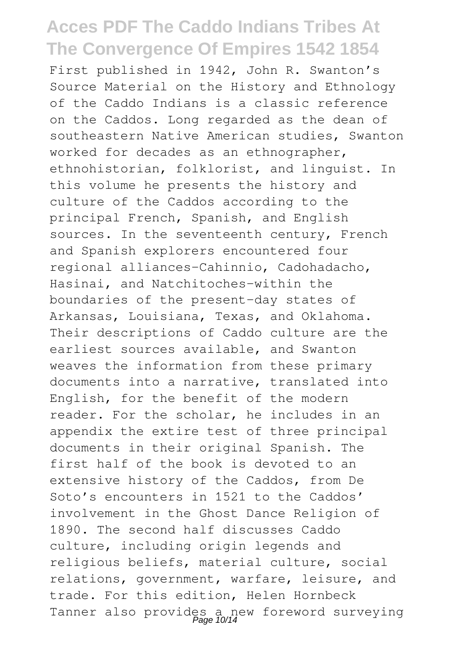First published in 1942, John R. Swanton's Source Material on the History and Ethnology of the Caddo Indians is a classic reference on the Caddos. Long regarded as the dean of southeastern Native American studies, Swanton worked for decades as an ethnographer, ethnohistorian, folklorist, and linguist. In this volume he presents the history and culture of the Caddos according to the principal French, Spanish, and English sources. In the seventeenth century, French and Spanish explorers encountered four regional alliances-Cahinnio, Cadohadacho, Hasinai, and Natchitoches-within the boundaries of the present-day states of Arkansas, Louisiana, Texas, and Oklahoma. Their descriptions of Caddo culture are the earliest sources available, and Swanton weaves the information from these primary documents into a narrative, translated into English, for the benefit of the modern reader. For the scholar, he includes in an appendix the extire test of three principal documents in their original Spanish. The first half of the book is devoted to an extensive history of the Caddos, from De Soto's encounters in 1521 to the Caddos' involvement in the Ghost Dance Religion of 1890. The second half discusses Caddo culture, including origin legends and religious beliefs, material culture, social relations, government, warfare, leisure, and trade. For this edition, Helen Hornbeck Tanner also provides a new foreword surveying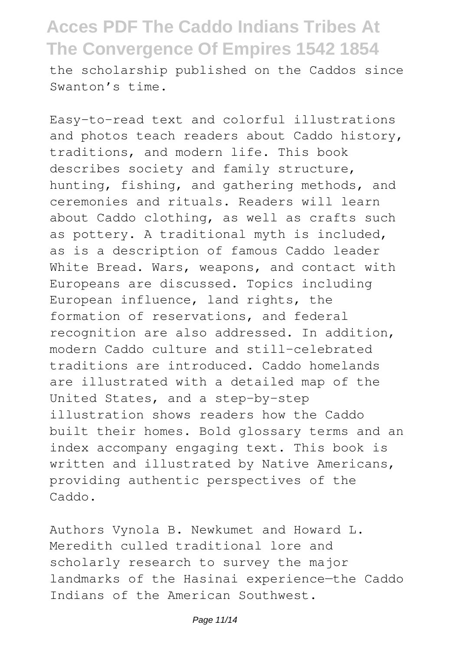the scholarship published on the Caddos since Swanton's time.

Easy-to-read text and colorful illustrations and photos teach readers about Caddo history, traditions, and modern life. This book describes society and family structure, hunting, fishing, and gathering methods, and ceremonies and rituals. Readers will learn about Caddo clothing, as well as crafts such as pottery. A traditional myth is included, as is a description of famous Caddo leader White Bread. Wars, weapons, and contact with Europeans are discussed. Topics including European influence, land rights, the formation of reservations, and federal recognition are also addressed. In addition, modern Caddo culture and still-celebrated traditions are introduced. Caddo homelands are illustrated with a detailed map of the United States, and a step-by-step illustration shows readers how the Caddo built their homes. Bold glossary terms and an index accompany engaging text. This book is written and illustrated by Native Americans, providing authentic perspectives of the Caddo.

Authors Vynola B. Newkumet and Howard L. Meredith culled traditional lore and scholarly research to survey the major landmarks of the Hasinai experience—the Caddo Indians of the American Southwest.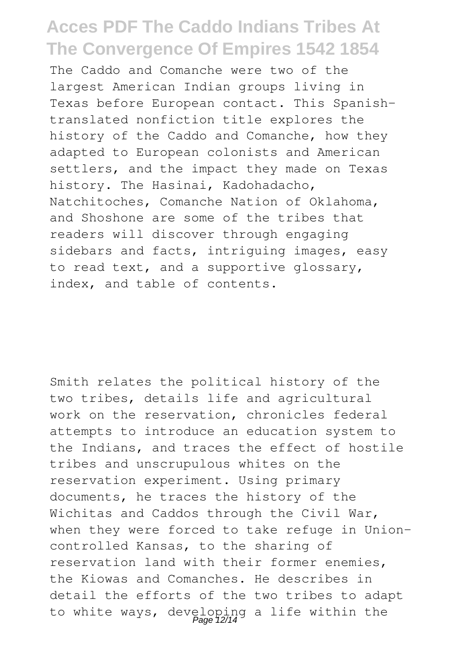The Caddo and Comanche were two of the largest American Indian groups living in Texas before European contact. This Spanishtranslated nonfiction title explores the history of the Caddo and Comanche, how they adapted to European colonists and American settlers, and the impact they made on Texas history. The Hasinai, Kadohadacho, Natchitoches, Comanche Nation of Oklahoma, and Shoshone are some of the tribes that readers will discover through engaging sidebars and facts, intriguing images, easy to read text, and a supportive glossary, index, and table of contents.

Smith relates the political history of the two tribes, details life and agricultural work on the reservation, chronicles federal attempts to introduce an education system to the Indians, and traces the effect of hostile tribes and unscrupulous whites on the reservation experiment. Using primary documents, he traces the history of the Wichitas and Caddos through the Civil War, when they were forced to take refuge in Unioncontrolled Kansas, to the sharing of reservation land with their former enemies, the Kiowas and Comanches. He describes in detail the efforts of the two tribes to adapt to white ways, developing a life within the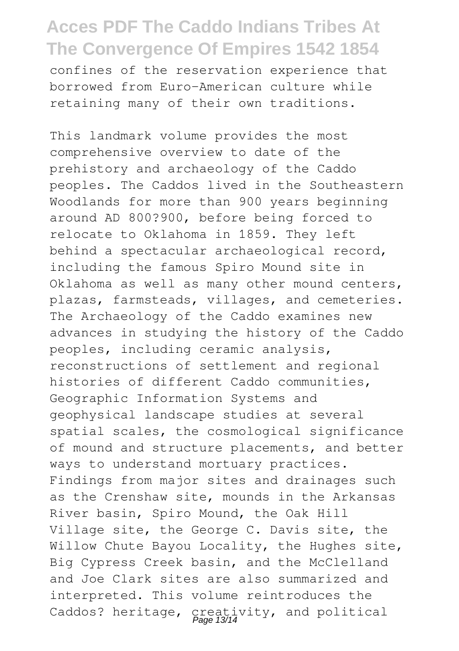confines of the reservation experience that borrowed from Euro-American culture while retaining many of their own traditions.

This landmark volume provides the most comprehensive overview to date of the prehistory and archaeology of the Caddo peoples. The Caddos lived in the Southeastern Woodlands for more than 900 years beginning around AD 800?900, before being forced to relocate to Oklahoma in 1859. They left behind a spectacular archaeological record, including the famous Spiro Mound site in Oklahoma as well as many other mound centers, plazas, farmsteads, villages, and cemeteries. The Archaeology of the Caddo examines new advances in studying the history of the Caddo peoples, including ceramic analysis, reconstructions of settlement and regional histories of different Caddo communities, Geographic Information Systems and geophysical landscape studies at several spatial scales, the cosmological significance of mound and structure placements, and better ways to understand mortuary practices. Findings from major sites and drainages such as the Crenshaw site, mounds in the Arkansas River basin, Spiro Mound, the Oak Hill Village site, the George C. Davis site, the Willow Chute Bayou Locality, the Hughes site, Big Cypress Creek basin, and the McClelland and Joe Clark sites are also summarized and interpreted. This volume reintroduces the Caddos? heritage, creativity, and political